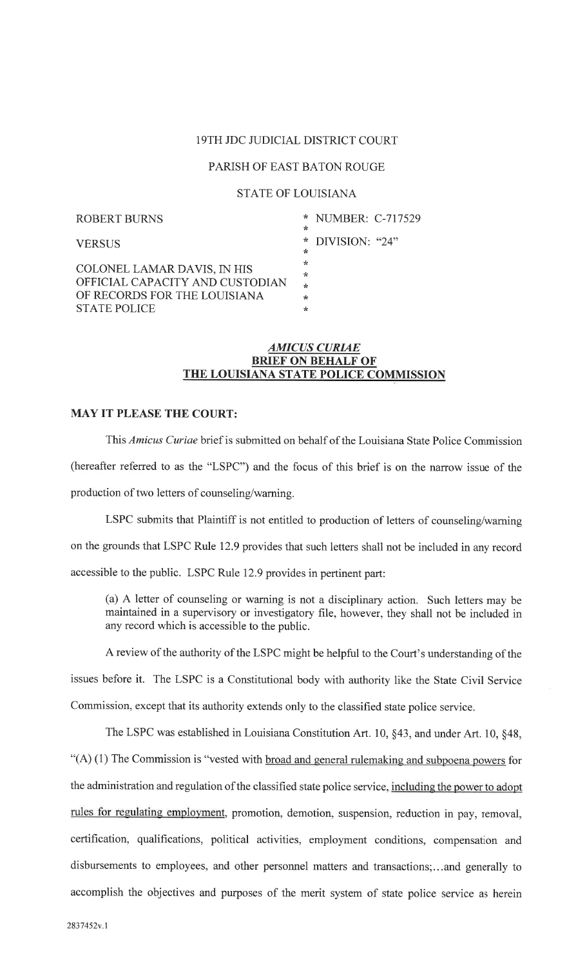# 19TH JDC JUDICIAL DISTRICT COURT

# PARISH OF EAST BATON ROUGE

# STATE OF LOUISIANA

| <b>ROBERT BURNS</b>             | * NUMBER: C-717529 |  |
|---------------------------------|--------------------|--|
|                                 | ∗                  |  |
| <b>VERSUS</b>                   | $*$ DIVISION: "24" |  |
|                                 | *<br>÷             |  |
| COLONEL LAMAR DAVIS, IN HIS     | $\star$            |  |
| OFFICIAL CAPACITY AND CUSTODIAN | $\star$            |  |
| OF RECORDS FOR THE LOUISIANA    | $\ast$             |  |
| <b>STATE POLICE</b>             | *                  |  |

#### AMICUS CURAE BRIEF ON BEHALF OF THE LOUISIANA STATE POLICE COMMISSION

## MAY IT PLEASE THE COURT:

This Amicus Curiae brief is submitted on behalf of the Louisiana State Police Commission (hereafter referred to as the "LSPC") and the focus of this brief is on the narrow issue of the production of two letters of counseling/warning.

LSPC submits that Plaintiff is not entitled to production of letters of counseling/warning on the grounds that LSPC Rule 12.9 provides that such letters shall not be included in any record accessible to the public. LSPC Rule 12.9 provides in pertinent part:

(a) A letter of counseling or warning is not a disciplinary action. Such letters may be maintained in a supervisory or investigatory file, however, they shall not be included in any record which is accessible to the public.

<sup>A</sup>review of the authority of the LSPC might be helpful to the Court's understanding of the

issues before it. The LSPC is a Constitutional body with authority like the State Civil Service Commission, except that its authority extends only to the classified state police service.

The LSPC was established in Louisiana Constitution Art. 10, §43, and under Art. 10, §48, " $(A)$  (1) The Commission is "vested with broad and general rulemaking and subpoena powers for the administration and regulation of the classified state police service, including the power to adopt rules for regulating employment, promotion, demotion, suspension, reduction in pay, removal, certification, qualifications, political activities, employment conditions, compensation and disbursements to employees, and other personnel matters and transactions;...and generally to accomplish the objectives and purposes of the merit system of state police service as herein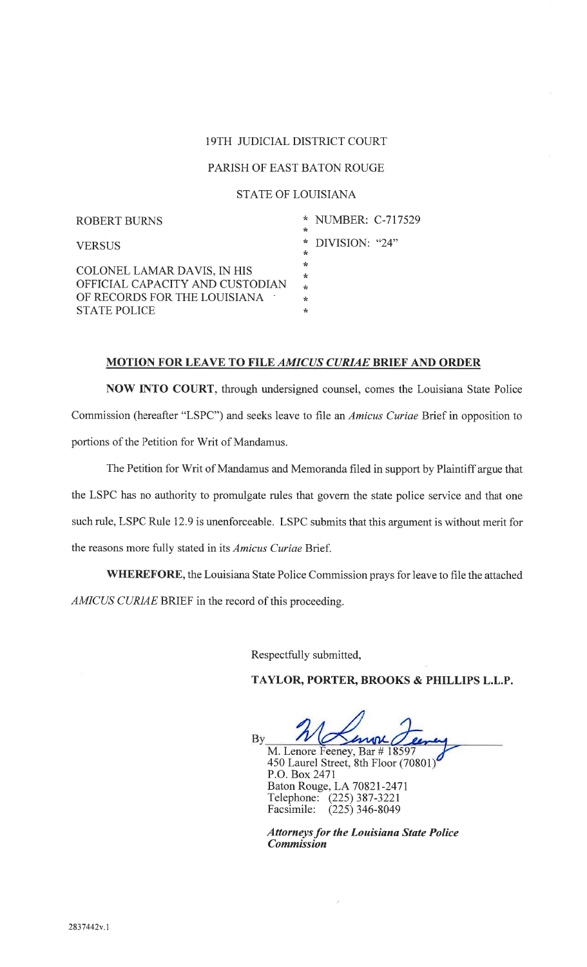#### I9TH JUDICIAL DISTRICT COURT

### PARISH OF EAST BATON ROUGE

#### STATE OF LOUISIANA

| ROBERT BURNS                    | * NUMBER: C-717529 |
|---------------------------------|--------------------|
|                                 | ÷                  |
| <b>VERSUS</b>                   | $*$ DIVISION: "24" |
|                                 | ∗                  |
|                                 | ÷                  |
| COLONEL LAMAR DAVIS, IN HIS     | ÷                  |
| OFFICIAL CAPACITY AND CUSTODIAN | ÷                  |
| OF RECORDS FOR THE LOUISIANA    | باو                |
| <b>STATE POLICE</b>             | ÷                  |
|                                 |                    |

#### MOTION FOR LEAVE TO FILE AMICUS CURIAE BRIEF AND ORDER

NOW INTO COURT, through undersigned counsel, comes the Louisiana State Police Commission (hereafter "LSPC") and seeks leave to file an Amicus Curiae Brief in opposition to portions of the Petition for Writ of Mandamus.

The Petition for Writ of Mandamus and Memoranda filed in support by Plaintiff argue that the LSPC has no authority to promulgate rules that govern the state police service and that one such rule, LSPC Rule 12.9 is unenforceable. LSPC submits that this argument is without merit for the reasons more fully stated in its Amicus Curiae Brief.

WHEREFORE, the Louisiana State Police Commission prays for leave to file the attached AMICUS CURIAE BRIEF in the record of this proceeding.

Respectfully submitted,

TAYLOR, PORTER, BROOKS & PHILLPS L.L.p.

By M. Lenore Feeney, Bar # 450 Laurel Street, 8th Floor (70801 P.O.Box247l

Baton Rouge, LA 70821-2471 Telephone: (225) 387-3221 Facsimile: (225)346-8049

Attorneys for the Louisiana State Police Commission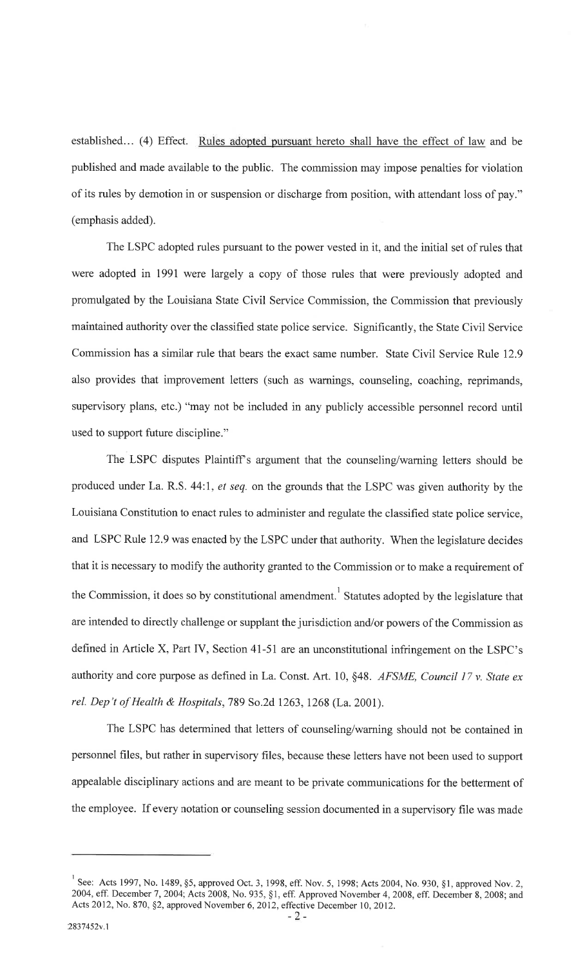established... (4) Effect. Rules adopted pursuant hereto shall have the effect of law and be published and made available to the public. The commission may impose penalties for violation of its rules by demotion in or suspension or discharge from position, with attendant loss of pay." (emphasis added).

The LSPC adopted rules pursuant to the power vested in it, and the initial set of rules that were adopted in 1991 were largely a copy of those rules that were previously adopted and promulgated by the Louisiana State Civil Service Commission, the Commission that previously maintained authority over the classified state police service. Significantly, the State Civil Service Commission has a similar rule that bears the exact same number. State Civil Service Rule 12.9 also provides that improvement letters (such as warnings, counseling, coaching, reprimands, supervisory plans, etc.) "may not be included in any publicly accessible personnel record until used to support future discipline."

The LSPC disputes Plaintiff's argument that the counseling/warning letters should be produced under La. R.S. 44:1, et seq. on the grounds that the LSPC was given authority by the Louisiana Constitution to enact rules to administer and regulate the classified state police service, and LSPC Rule 12.9 was enacted by the LSPC under that authority. When the legislature decides that it is necessary to modify the authority granted to the Commission or to make a requirement of the Commission, it does so by constitutional amendment.<sup>1</sup> Statutes adopted by the legislature that are intended to directly challenge or supplant the jurisdiction and/or powers of the Commission as defined in Article X, Part IV, Section 41-51 are an unconstitutional infringement on the LSPC's authority and core purpose as defined in La. Const. Art. 10, §48. AFSME, Council 17 v. State ex rel. Dep't of Health & Hospitals,789 So.2d 1263,1268 (La.2001).

The LSPC has determined that letters of counseling/warning should not be contained in personnel files, but rather in supervisory files, because these letters have not been used to support appealable disciplinary actions and are meant to be private communications for the betterment of the employee. If every notation or counseling session documented in a supervisory file was made

See: Acts 1997, No. 1489, §5, approved Oct. 3, 1998, eff. Nov. 5, 1998; Acts 2004, No. 930, §1, approved Nov. 2, 2004, eff. December 7,2004; Acts 2008, No. 935, \$1, eff. Approved November 4,2008, eff. December 8, 2008; and Acts 2012, No. 870, §2, approved November 6, 2012, effective December 10, 2012.<br>-2-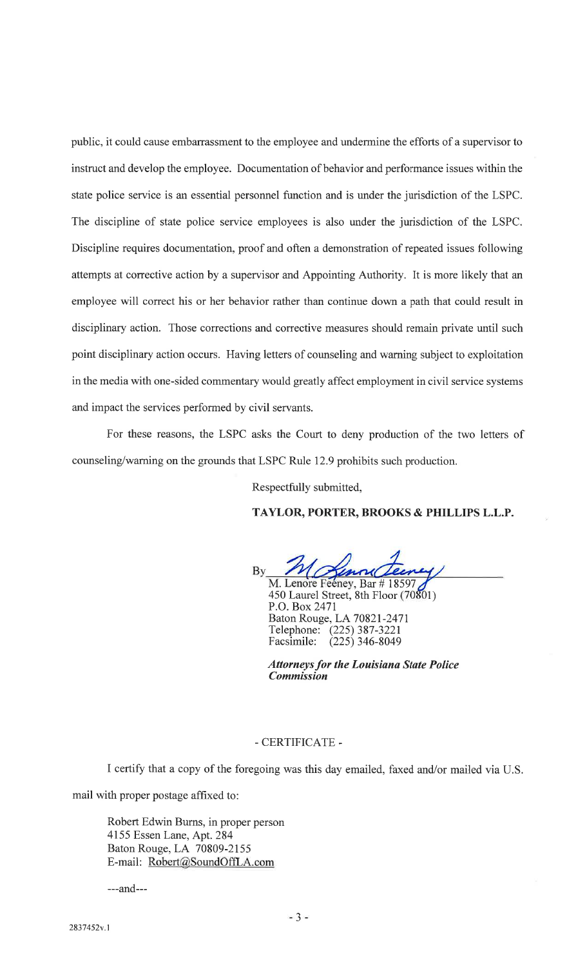public, it could cause embarrassment to the employee and undermine the efforts of a supervisor to instruct and develop the employee. Documentation of behavior and performance issues within the state police service is an essential personnel function and is under the jurisdiction of the LSPC. The discipline of state police service employees is also under the jurisdiction of the LSPC. Discipline requires documentation, proof and often a demonstration of repeated issues following attempts at corrective action by a supervisor and Appointing Authority. It is more likely that an employee will correct his or her behavior rather than continue down a path that could result in disciplinary action. Those corrections and corrective measures should remain private until such point disciplinary action occurs. Having letters of counseling and warning subject to exploitation in the media with one-sided commentary would greatly affect employment in civil service systems and impact the services performed by civil servants.

For these reasons, the LSPC asks the Court to deny production of the two letters of counseling/waming on the grounds that LSPC Rule 12.9 prohibits such production.

Respectfully submitted,

#### TAYLOR, PORTER, BROOKS & PHILLIPS L.L.p.

Bv

M. Lenore Feéney, Bar # 18597 450 Laurel Street, 8th Floor (70801) P.O.Box247l Baton Rouge, LA 70821-2471 Telephone: (225) 387-3221 Facsimile: (225) 346-8049

**Attorneys for the Louisiana State Police** Commission

## -CERTIFICATE -

I certify that a copy of the foregoing was this day emailed, faxed and/or mailed via U.S.

mail with proper postage affixed to:

Robert Edwin Burns, in proper person <sup>4155</sup>Essen Lane, Apt.284 Baton Rouge, LA 70809-2155 E-mail: Robert@SoundOffLA.com

---and---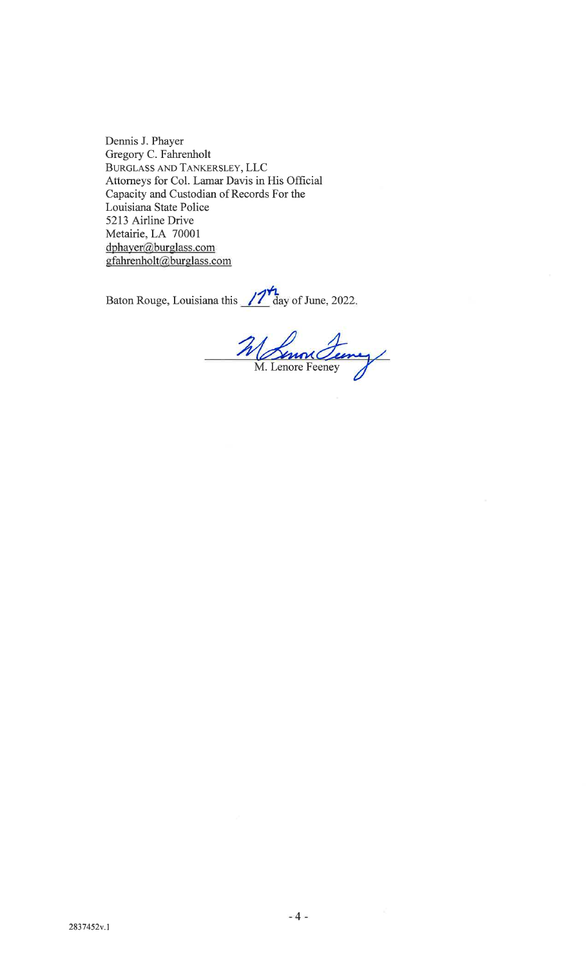Dennis J. Phayer Gregory C. Fahrenholt BURGLASS AND TANKERSLEY, LLC Attorneys for Col. Lanar Davis in His Official Capacity and Custodian of Records For the Louisiana State Police 5213 Airline Drive Metairie, LA <sup>70001</sup> dphayer@burglass.com gfahrenholt@burglass.com

Baton Rouge, Louisiana this  $\frac{1}{\sqrt{2}}$  day of June, 2022.

M Senon Ferry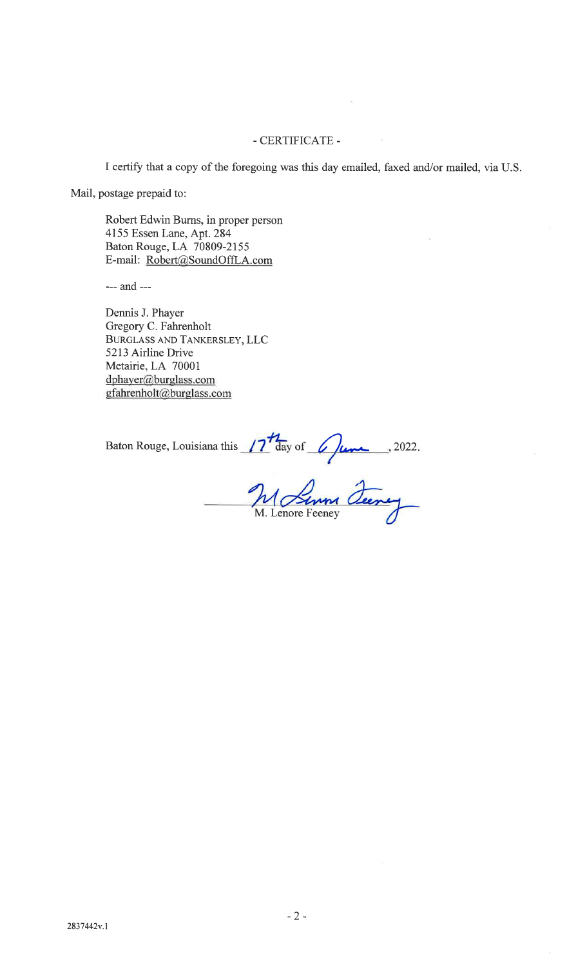## CERTIFICATE -

I certify that a copy of the foregoing was this day emailed, faxed and/or mailed, via U.S.

Mail, postage prepaid to:

Robert Edwin Burns, in proper person <sup>4155</sup>Essen Lane, Apt.284 Baton Rouge, LA 70809-2155 E-mail: Robert@SoundOffLA.com

--- and ---

Dennis J. Phayer Gregory C. Fahrenholt BURGLASS AND TANKERSLEY, LLC 5213 Airline Drive Metairie, LA <sup>70001</sup> dphayer@burglass.com gfahrenholt@burglass.com

Baton Rouge, Louisiana this  $\frac{17}{4}$  day of  $\frac{6}{4}$   $\frac{1}{4}$ , 2022

M. Lenore Feeney